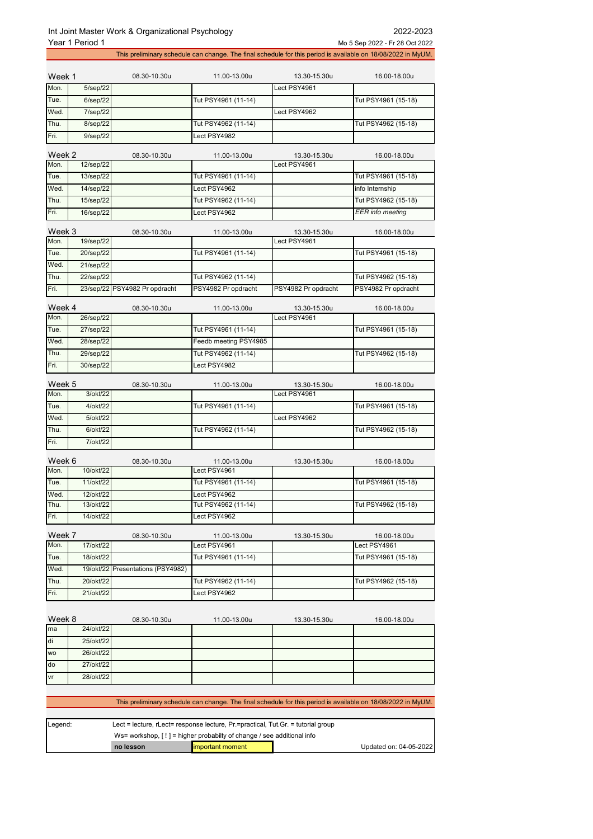|                | Year 1 Period 1 |                                   |                       |                                                                                                              | Mo 5 Sep 2022 - Fr 28 Oct 2022                                                                               |  |
|----------------|-----------------|-----------------------------------|-----------------------|--------------------------------------------------------------------------------------------------------------|--------------------------------------------------------------------------------------------------------------|--|
|                |                 |                                   |                       |                                                                                                              | This preliminary schedule can change. The final schedule for this period is available on 18/08/2022 in MyUM. |  |
|                |                 |                                   |                       |                                                                                                              |                                                                                                              |  |
| Week 1         |                 | 08.30-10.30u                      | 11.00-13.00u          | 13.30-15.30u                                                                                                 | 16.00-18.00u                                                                                                 |  |
| Mon.           | 5/sep/22        |                                   |                       | Lect PSY4961                                                                                                 |                                                                                                              |  |
| Tue.           | 6/sep/22        |                                   | Tut PSY4961 (11-14)   |                                                                                                              | Tut PSY4961 (15-18)                                                                                          |  |
| Wed.           | 7/sep/22        |                                   |                       | Lect PSY4962                                                                                                 |                                                                                                              |  |
| Thu.           | 8/sep/22        |                                   | Tut PSY4962 (11-14)   |                                                                                                              | Tut PSY4962 (15-18)                                                                                          |  |
| Fri.           | $9$ /sep/22     |                                   | Lect PSY4982          |                                                                                                              |                                                                                                              |  |
|                |                 |                                   |                       |                                                                                                              |                                                                                                              |  |
| Week 2         |                 | 08.30-10.30u                      | 11.00-13.00u          | 13.30-15.30u                                                                                                 | 16.00-18.00u                                                                                                 |  |
| Mon.           | 12/sep/22       |                                   |                       | Lect PSY4961                                                                                                 |                                                                                                              |  |
| Tue.           | 13/sep/22       |                                   | Tut PSY4961 (11-14)   |                                                                                                              | Tut PSY4961 (15-18)                                                                                          |  |
| Wed.           | 14/sep/22       |                                   | Lect PSY4962          |                                                                                                              | info Internship                                                                                              |  |
| Thu.           | 15/sep/22       |                                   | Tut PSY4962 (11-14)   |                                                                                                              | Tut PSY4962 (15-18)                                                                                          |  |
| Fri.           | 16/sep/22       |                                   | Lect PSY4962          |                                                                                                              | <b>EER</b> info meeting                                                                                      |  |
|                |                 |                                   |                       |                                                                                                              |                                                                                                              |  |
| Week 3         |                 | 08.30-10.30u                      | 11.00-13.00u          | 13.30-15.30u                                                                                                 | 16.00-18.00u                                                                                                 |  |
| Mon.           | 19/sep/22       |                                   |                       | Lect PSY4961                                                                                                 |                                                                                                              |  |
| Tue.           | 20/sep/22       |                                   | Tut PSY4961 (11-14)   |                                                                                                              | Tut PSY4961 (15-18)                                                                                          |  |
| Wed.           | 21/sep/22       |                                   |                       |                                                                                                              |                                                                                                              |  |
| Thu.           | 22/sep/22       |                                   | Tut PSY4962 (11-14)   |                                                                                                              | Tut PSY4962 (15-18)                                                                                          |  |
| Fri.           |                 | 23/sep/22 PSY4982 Pr opdracht     | PSY4982 Pr opdracht   | PSY4982 Pr opdracht                                                                                          | PSY4982 Pr opdracht                                                                                          |  |
|                |                 |                                   |                       |                                                                                                              |                                                                                                              |  |
| Week 4<br>Mon. | 26/sep/22       | 08.30-10.30u                      | 11.00-13.00u          | 13.30-15.30u<br>Lect PSY4961                                                                                 | 16.00-18.00u                                                                                                 |  |
| Tue.           | 27/sep/22       |                                   | Tut PSY4961 (11-14)   |                                                                                                              | Tut PSY4961 (15-18)                                                                                          |  |
| Wed.           |                 |                                   |                       |                                                                                                              |                                                                                                              |  |
|                | 28/sep/22       |                                   | Feedb meeting PSY4985 |                                                                                                              |                                                                                                              |  |
| Thu.           | 29/sep/22       |                                   | Tut PSY4962 (11-14)   |                                                                                                              | Tut PSY4962 (15-18)                                                                                          |  |
| Fri.           | 30/sep/22       |                                   | Lect PSY4982          |                                                                                                              |                                                                                                              |  |
| Week 5         |                 | 08.30-10.30u                      | 11.00-13.00u          | 13.30-15.30u                                                                                                 | 16.00-18.00u                                                                                                 |  |
| Mon.           | 3/okt/22        |                                   |                       | Lect PSY4961                                                                                                 |                                                                                                              |  |
| Tue.           | 4/okt/22        |                                   | Tut PSY4961 (11-14)   |                                                                                                              | Tut PSY4961 (15-18)                                                                                          |  |
| Wed.           | 5/okt/22        |                                   |                       | Lect PSY4962                                                                                                 |                                                                                                              |  |
| Thu.           | 6/okt/22        |                                   | Tut PSY4962 (11-14)   |                                                                                                              | Tut PSY4962 (15-18)                                                                                          |  |
| Fri.           | 7/okt/22        |                                   |                       |                                                                                                              |                                                                                                              |  |
|                |                 |                                   |                       |                                                                                                              |                                                                                                              |  |
| Week 6         |                 | 08.30-10.30u                      | 11.00-13.00u          | 13.30-15.30u                                                                                                 | 16.00-18.00u                                                                                                 |  |
| Mon.           | 10/okt/22       |                                   | Lect PSY4961          |                                                                                                              |                                                                                                              |  |
| Tue.           | 11/okt/22       |                                   | Tut PSY4961 (11-14)   |                                                                                                              | Tut PSY4961 (15-18)                                                                                          |  |
| Wed.           | 12/okt/22       |                                   | Lect PSY4962          |                                                                                                              |                                                                                                              |  |
| Thu.           | 13/okt/22       |                                   | Tut PSY4962 (11-14)   |                                                                                                              | Tut PSY4962 (15-18)                                                                                          |  |
| Fri.           | 14/okt/22       |                                   | Lect PSY4962          |                                                                                                              |                                                                                                              |  |
|                |                 |                                   |                       |                                                                                                              |                                                                                                              |  |
| Week 7         |                 | 08.30-10.30u                      | 11.00-13.00u          | 13.30-15.30u                                                                                                 | 16.00-18.00u                                                                                                 |  |
| Mon.           | 17/okt/22       |                                   | Lect PSY4961          |                                                                                                              | Lect PSY4961                                                                                                 |  |
| Tue.           | 18/okt/22       |                                   | Tut PSY4961 (11-14)   |                                                                                                              | Tut PSY4961 (15-18)                                                                                          |  |
| Wed.           |                 | 19/okt/22 Presentations (PSY4982) |                       |                                                                                                              |                                                                                                              |  |
| Thu.           | 20/okt/22       |                                   | Tut PSY4962 (11-14)   |                                                                                                              | Tut PSY4962 (15-18)                                                                                          |  |
| Fri.           | 21/okt/22       |                                   | Lect PSY4962          |                                                                                                              |                                                                                                              |  |
|                |                 |                                   |                       |                                                                                                              |                                                                                                              |  |
| Week 8         |                 | 08.30-10.30u                      | 11.00-13.00u          | 13.30-15.30u                                                                                                 | 16.00-18.00u                                                                                                 |  |
| ma             | 24/okt/22       |                                   |                       |                                                                                                              |                                                                                                              |  |
| di             | 25/okt/22       |                                   |                       |                                                                                                              |                                                                                                              |  |
| WO             | 26/okt/22       |                                   |                       |                                                                                                              |                                                                                                              |  |
| do             | 27/okt/22       |                                   |                       |                                                                                                              |                                                                                                              |  |
| vr             | 28/okt/22       |                                   |                       |                                                                                                              |                                                                                                              |  |
|                |                 |                                   |                       |                                                                                                              |                                                                                                              |  |
|                |                 |                                   |                       |                                                                                                              |                                                                                                              |  |
|                |                 |                                   |                       | This preliminary schedule can change. The final schedule for this period is available on 18/08/2022 in MyUM. |                                                                                                              |  |

| Legend: | Lect = lecture, rLect= response lecture, $Pr =$ practical, Tut.Gr. = tutorial group<br>Ws= workshop. $[!]$ = higher probabilty of change / see additional info |                  |                        |  |
|---------|----------------------------------------------------------------------------------------------------------------------------------------------------------------|------------------|------------------------|--|
|         |                                                                                                                                                                |                  |                        |  |
|         | no lesson                                                                                                                                                      | important moment | Updated on: 04-05-2022 |  |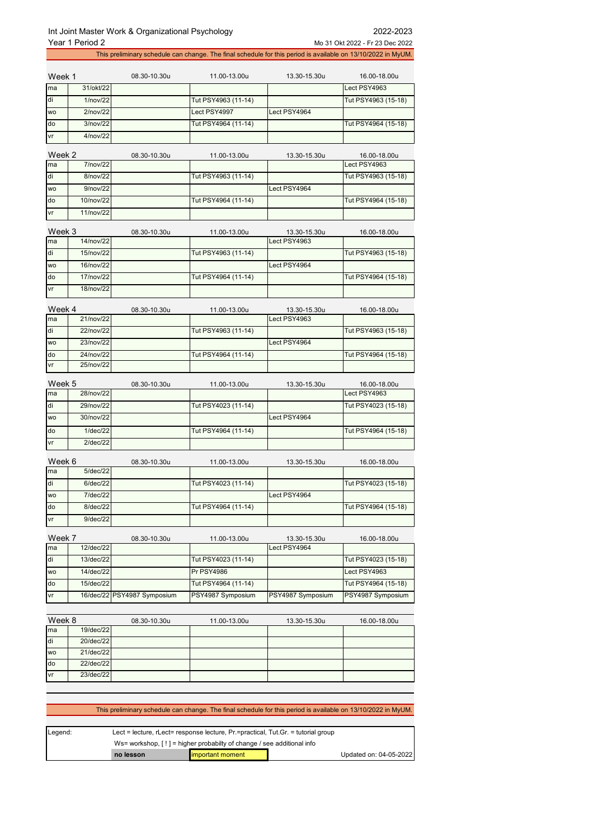Year 1 Period 2 Mo 31 Okt 2022 - Fr 23 Dec 2022 This preliminary schedule can change. The final schedule for this period is available on 13/10/2022 in MyUM. Week 1 08.30-10.30u 11.00-13.00u 13.30-15.30u 16.00-18.00u ma 31/okt/22 Lect PSY4963 1/nov/22 Tut PSY4963 (11-14) Tut PSY4963 (15-18) wo 2/nov/22 Lect PSY4997 Lect PSY4964 do 3/nov/22 Tut PSY4964 (11-14) Tut PSY4964 (15-18) vr 4/nov/22 Week 2 08.30-10.30u 11.00-13.00u 13.30-15.30u 16.00-18.00u ma 7/nov/22 Lect PSY4963 di 8/nov/22 Tut PSY4963 (11-14) Tut PSY4963 (15-18) wo 9/nov/22 Lect PSY4964 do 10/nov/22 Tut PSY4964 (11-14) Tut PSY4964 (15-18) 11/nov/22 Week 3 08.30-10.30u 11.00-13.00u 13.30-15.30u 16.00-18.00u ma 14/nov/22 Lect PSY4963 di 15/nov/22 Tut PSY4963 (11-14) Tut PSY4963 (15-18) wo 16/nov/22 Lect PSY4964 do 17/nov/22 Tut PSY4964 (11-14) Tut PSY4964 (15-18) vr 18/nov/22 Week 4 08.30-10.30u 11.00-13.00u 13.30-15.30u 16.00-18.00u ma 21/nov/22 Lect PSY4963 di 22/nov/22 Tut PSY4963 (11-14) Tut PSY4963 (15-18) wo 23/nov/22 Lect PSY4964 do 24/nov/22 Tut PSY4964 (11-14) Tut PSY4964 (15-18) vr 25/nov/22 Week 5 08.30-10.30u 11.00-13.00u 13.30-15.30u 16.00-18.00u ma 28/nov/22 Lect PSY4963 di 29/nov/22 Tut PSY4023 (11-14) Tut PSY4023 (15-18) wo 30/nov/22 Lect PSY4964 do 1/dec/22 Tut PSY4964 (11-14) Tut PSY4964 (15-18) vr 2/dec/22 Week 6 08.30-10.30u 11.00-13.00u 13.30-15.30u 16.00-18.00u ma 5/dec/22 di 6/dec/22 Tut PSY4023 (11-14) Tut PSY4023 (15-18) wo 7/dec/22 Lect PSY4964 do 8/dec/22 Tut PSY4964 (11-14) Tut PSY4964 (11-14) Tut PSY4964 (15-18) vr 9/dec/22 Week 7 08.30-10.30u 11.00-13.00u 13.30-15.30u 16.00-18.00u ma 12/dec/22 **Lect PSY4964** 13/dec/22 Tut PSY4023 (11-14) Tut PSY4023 (11-14) Tut PSY4023 (15-18) wo | 14/dec/22 Pr PSY4986 Pr PSY4986 Lect PSY4963 do 15/dec/22 Tut PSY4964 (11-14) Tut PSY4964 (15-18) 16/dec/22 PSY4987 Symposium PSY4987 Symposium PSY4987 Symposium PSY4987 Symposium Week 8 08.30-10.30u 11.00-13.00u 13.30-15.30u 16.00-18.00u ma 19/dec/22 20/dec/22 wo 21/dec/22 do 22/dec/22 23/dec/22

 This preliminary schedule can change. The final schedule for this period is available on 13/10/2022 in MyUM. Legend: Lect = lecture, rLect= response lecture, Pr.=practical, Tut.Gr. = tutorial group

|         | no lesson                                                               | <b>Important moment</b>                                                           |  | Updated on: 04-05-2022 |
|---------|-------------------------------------------------------------------------|-----------------------------------------------------------------------------------|--|------------------------|
|         | Ws= workshop. $[!]$ = higher probabilty of change / see additional info |                                                                                   |  |                        |
| Legena. |                                                                         | Lect = lecture, r.Lect= response lecture, Pr.=practical, Tut.Gr. = tutorial group |  |                        |